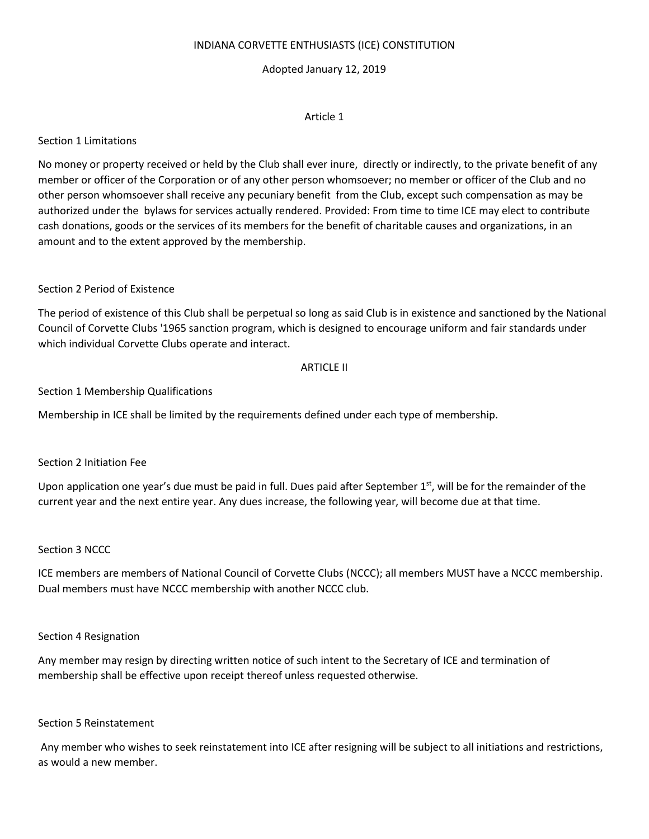#### INDIANA CORVETTE ENTHUSIASTS (ICE) CONSTITUTION

#### Adopted January 12, 2019

#### Article 1

#### Section 1 Limitations

No money or property received or held by the Club shall ever inure, directly or indirectly, to the private benefit of any member or officer of the Corporation or of any other person whomsoever; no member or officer of the Club and no other person whomsoever shall receive any pecuniary benefit from the Club, except such compensation as may be authorized under the bylaws for services actually rendered. Provided: From time to time ICE may elect to contribute cash donations, goods or the services of its members for the benefit of charitable causes and organizations, in an amount and to the extent approved by the membership.

#### Section 2 Period of Existence

The period of existence of this Club shall be perpetual so long as said Club is in existence and sanctioned by the National Council of Corvette Clubs '1965 sanction program, which is designed to encourage uniform and fair standards under which individual Corvette Clubs operate and interact.

#### ARTICLE II

Section 1 Membership Qualifications

Membership in ICE shall be limited by the requirements defined under each type of membership.

#### Section 2 Initiation Fee

Upon application one year's due must be paid in full. Dues paid after September 1<sup>st</sup>, will be for the remainder of the current year and the next entire year. Any dues increase, the following year, will become due at that time.

#### Section 3 NCCC

ICE members are members of National Council of Corvette Clubs (NCCC); all members MUST have a NCCC membership. Dual members must have NCCC membership with another NCCC club.

#### Section 4 Resignation

Any member may resign by directing written notice of such intent to the Secretary of ICE and termination of membership shall be effective upon receipt thereof unless requested otherwise.

#### Section 5 Reinstatement

Any member who wishes to seek reinstatement into ICE after resigning will be subject to all initiations and restrictions, as would a new member.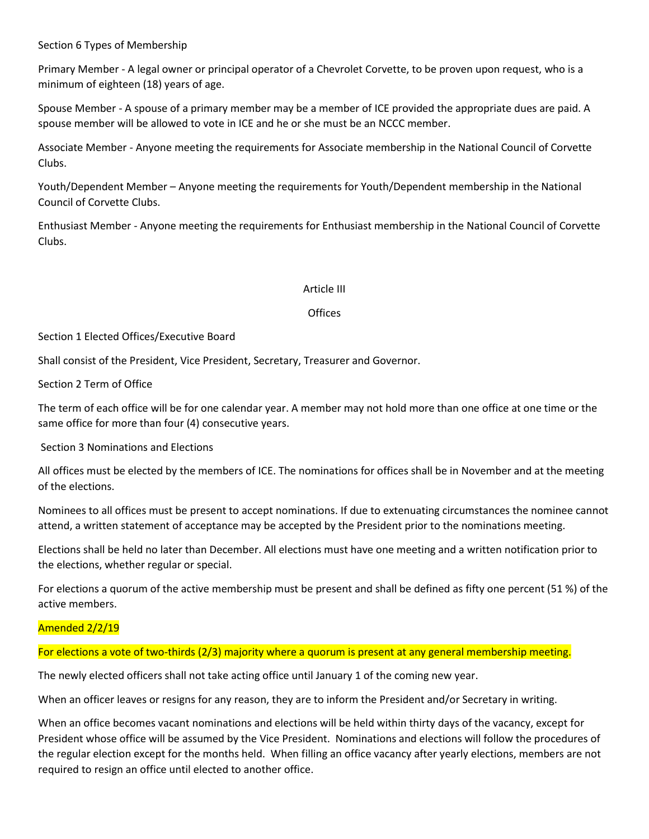# Section 6 Types of Membership

Primary Member - A legal owner or principal operator of a Chevrolet Corvette, to be proven upon request, who is a minimum of eighteen (18) years of age.

Spouse Member - A spouse of a primary member may be a member of ICE provided the appropriate dues are paid. A spouse member will be allowed to vote in ICE and he or she must be an NCCC member.

Associate Member - Anyone meeting the requirements for Associate membership in the National Council of Corvette Clubs.

Youth/Dependent Member – Anyone meeting the requirements for Youth/Dependent membership in the National Council of Corvette Clubs.

Enthusiast Member - Anyone meeting the requirements for Enthusiast membership in the National Council of Corvette Clubs.

#### Article III

#### **Offices**

#### Section 1 Elected Offices/Executive Board

Shall consist of the President, Vice President, Secretary, Treasurer and Governor.

Section 2 Term of Office

The term of each office will be for one calendar year. A member may not hold more than one office at one time or the same office for more than four (4) consecutive years.

Section 3 Nominations and Elections

All offices must be elected by the members of ICE. The nominations for offices shall be in November and at the meeting of the elections.

Nominees to all offices must be present to accept nominations. If due to extenuating circumstances the nominee cannot attend, a written statement of acceptance may be accepted by the President prior to the nominations meeting.

Elections shall be held no later than December. All elections must have one meeting and a written notification prior to the elections, whether regular or special.

For elections a quorum of the active membership must be present and shall be defined as fifty one percent (51 %) of the active members.

# Amended 2/2/19

# For elections a vote of two-thirds (2/3) majority where a quorum is present at any general membership meeting.

The newly elected officers shall not take acting office until January 1 of the coming new year.

When an officer leaves or resigns for any reason, they are to inform the President and/or Secretary in writing.

When an office becomes vacant nominations and elections will be held within thirty days of the vacancy, except for President whose office will be assumed by the Vice President. Nominations and elections will follow the procedures of the regular election except for the months held. When filling an office vacancy after yearly elections, members are not required to resign an office until elected to another office.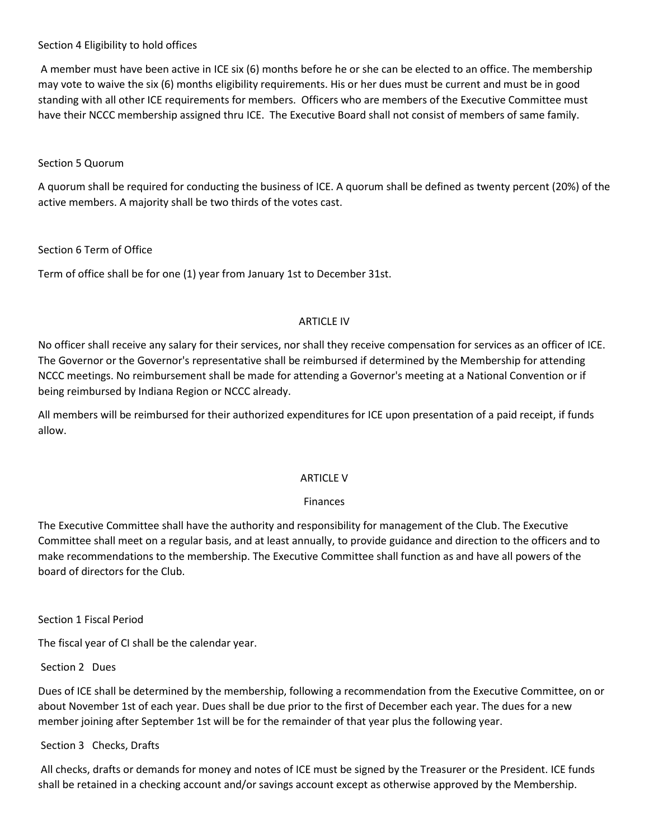# Section 4 Eligibility to hold offices

A member must have been active in ICE six (6) months before he or she can be elected to an office. The membership may vote to waive the six (6) months eligibility requirements. His or her dues must be current and must be in good standing with all other ICE requirements for members. Officers who are members of the Executive Committee must have their NCCC membership assigned thru ICE. The Executive Board shall not consist of members of same family.

# Section 5 Quorum

A quorum shall be required for conducting the business of ICE. A quorum shall be defined as twenty percent (20%) of the active members. A majority shall be two thirds of the votes cast.

# Section 6 Term of Office

Term of office shall be for one (1) year from January 1st to December 31st.

# ARTICLE IV

No officer shall receive any salary for their services, nor shall they receive compensation for services as an officer of ICE. The Governor or the Governor's representative shall be reimbursed if determined by the Membership for attending NCCC meetings. No reimbursement shall be made for attending a Governor's meeting at a National Convention or if being reimbursed by Indiana Region or NCCC already.

All members will be reimbursed for their authorized expenditures for ICE upon presentation of a paid receipt, if funds allow.

# ARTICLE V

# Finances

The Executive Committee shall have the authority and responsibility for management of the Club. The Executive Committee shall meet on a regular basis, and at least annually, to provide guidance and direction to the officers and to make recommendations to the membership. The Executive Committee shall function as and have all powers of the board of directors for the Club.

# Section 1 Fiscal Period

The fiscal year of CI shall be the calendar year.

# Section 2 Dues

Dues of ICE shall be determined by the membership, following a recommendation from the Executive Committee, on or about November 1st of each year. Dues shall be due prior to the first of December each year. The dues for a new member joining after September 1st will be for the remainder of that year plus the following year.

# Section 3 Checks, Drafts

All checks, drafts or demands for money and notes of ICE must be signed by the Treasurer or the President. ICE funds shall be retained in a checking account and/or savings account except as otherwise approved by the Membership.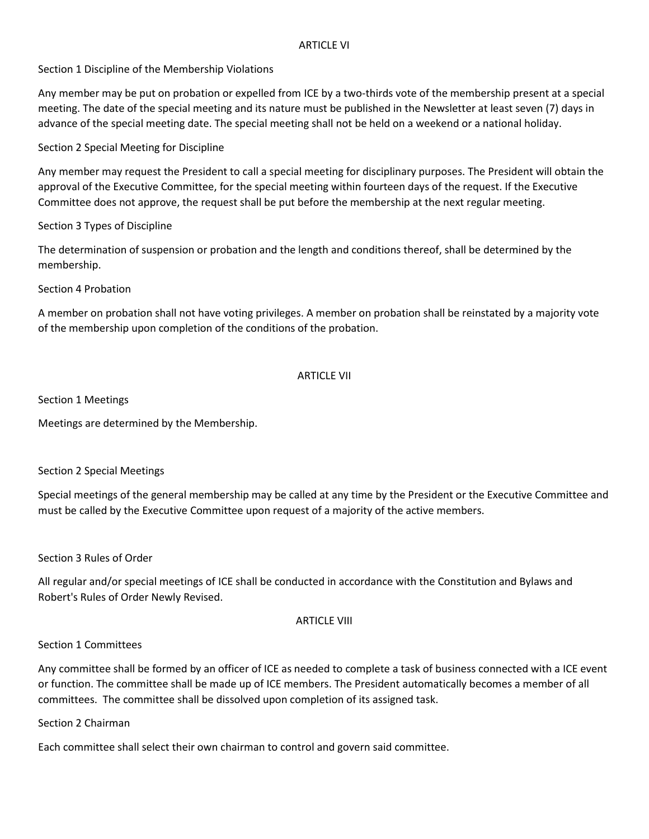#### ARTICLE VI

Section 1 Discipline of the Membership Violations

Any member may be put on probation or expelled from ICE by a two-thirds vote of the membership present at a special meeting. The date of the special meeting and its nature must be published in the Newsletter at least seven (7) days in advance of the special meeting date. The special meeting shall not be held on a weekend or a national holiday.

Section 2 Special Meeting for Discipline

Any member may request the President to call a special meeting for disciplinary purposes. The President will obtain the approval of the Executive Committee, for the special meeting within fourteen days of the request. If the Executive Committee does not approve, the request shall be put before the membership at the next regular meeting.

Section 3 Types of Discipline

The determination of suspension or probation and the length and conditions thereof, shall be determined by the membership.

Section 4 Probation

A member on probation shall not have voting privileges. A member on probation shall be reinstated by a majority vote of the membership upon completion of the conditions of the probation.

# ARTICLE VII

Section 1 Meetings

Meetings are determined by the Membership.

Section 2 Special Meetings

Special meetings of the general membership may be called at any time by the President or the Executive Committee and must be called by the Executive Committee upon request of a majority of the active members.

Section 3 Rules of Order

All regular and/or special meetings of ICE shall be conducted in accordance with the Constitution and Bylaws and Robert's Rules of Order Newly Revised.

#### ARTICLE VIII

# Section 1 Committees

Any committee shall be formed by an officer of ICE as needed to complete a task of business connected with a ICE event or function. The committee shall be made up of ICE members. The President automatically becomes a member of all committees. The committee shall be dissolved upon completion of its assigned task.

Section 2 Chairman

Each committee shall select their own chairman to control and govern said committee.